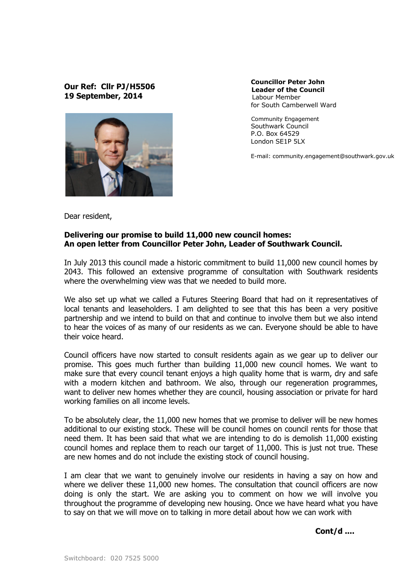## Our Ref: Cllr PJ/H5506 19 September, 2014



Councillor Peter John Leader of the Council Labour Member for South Camberwell Ward

 Community Engagement Southwark Council P.O. Box 64529 London SE1P 5LX

E-mail: community.engagement@southwark.gov.uk

Dear resident,

## Delivering our promise to build 11,000 new council homes: An open letter from Councillor Peter John, Leader of Southwark Council.

In July 2013 this council made a historic commitment to build 11,000 new council homes by 2043. This followed an extensive programme of consultation with Southwark residents where the overwhelming view was that we needed to build more.

We also set up what we called a Futures Steering Board that had on it representatives of local tenants and leaseholders. I am delighted to see that this has been a very positive partnership and we intend to build on that and continue to involve them but we also intend to hear the voices of as many of our residents as we can. Everyone should be able to have their voice heard.

Council officers have now started to consult residents again as we gear up to deliver our promise. This goes much further than building 11,000 new council homes. We want to make sure that every council tenant enjoys a high quality home that is warm, dry and safe with a modern kitchen and bathroom. We also, through our regeneration programmes, want to deliver new homes whether they are council, housing association or private for hard working families on all income levels.

To be absolutely clear, the 11,000 new homes that we promise to deliver will be new homes additional to our existing stock. These will be council homes on council rents for those that need them. It has been said that what we are intending to do is demolish 11,000 existing council homes and replace them to reach our target of 11,000. This is just not true. These are new homes and do not include the existing stock of council housing.

I am clear that we want to genuinely involve our residents in having a say on how and where we deliver these 11,000 new homes. The consultation that council officers are now doing is only the start. We are asking you to comment on how we will involve you throughout the programme of developing new housing. Once we have heard what you have to say on that we will move on to talking in more detail about how we can work with

Cont/d ....